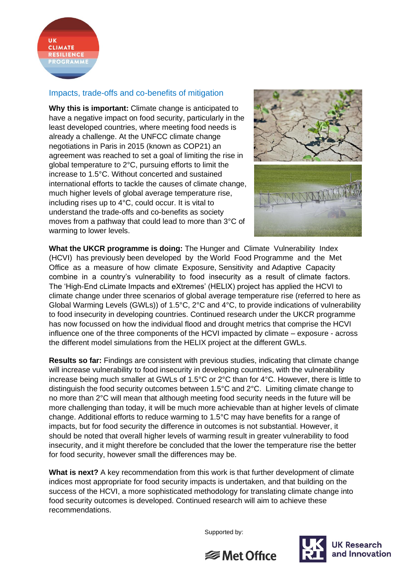

## Impacts, trade-offs and co-benefits of mitigation

**Why this is important:** Climate change is anticipated to have a negative impact on food security, particularly in the least developed countries, where meeting food needs is already a challenge. At the UNFCC climate change negotiations in Paris in 2015 (known as COP21) an agreement was reached to set a goal of limiting the rise in global temperature to 2°C, pursuing efforts to limit the increase to 1.5°C. Without concerted and sustained international efforts to tackle the causes of climate change, much higher levels of global average temperature rise, including rises up to 4°C, could occur. It is vital to understand the trade-offs and co-benefits as society moves from a pathway that could lead to more than 3°C of warming to lower levels.



**What the UKCR programme is doing:** The Hunger and Climate Vulnerability Index (HCVI) has previously been developed by the World Food Programme and the Met Office as a measure of how climate Exposure, Sensitivity and Adaptive Capacity combine in a country's vulnerability to food insecurity as a result of climate factors. The 'High-End cLimate Impacts and eXtremes' (HELIX) project has applied the HCVI to climate change under three scenarios of global average temperature rise (referred to here as Global Warming Levels (GWLs)) of 1.5°C, 2°C and 4°C, to provide indications of vulnerability to food insecurity in developing countries. Continued research under the UKCR programme has now focussed on how the individual flood and drought metrics that comprise the HCVI influence one of the three components of the HCVI impacted by climate – exposure - across the different model simulations from the HELIX project at the different GWLs.

**Results so far:** Findings are consistent with previous studies, indicating that climate change will increase vulnerability to food insecurity in developing countries, with the vulnerability increase being much smaller at GWLs of 1.5°C or 2°C than for 4°C. However, there is little to distinguish the food security outcomes between 1.5°C and 2°C. Limiting climate change to no more than 2°C will mean that although meeting food security needs in the future will be more challenging than today, it will be much more achievable than at higher levels of climate change. Additional efforts to reduce warming to 1.5°C may have benefits for a range of impacts, but for food security the difference in outcomes is not substantial. However, it should be noted that overall higher levels of warming result in greater vulnerability to food insecurity, and it might therefore be concluded that the lower the temperature rise the better for food security, however small the differences may be.

**What is next?** A key recommendation from this work is that further development of climate indices most appropriate for food security impacts is undertaken, and that building on the success of the HCVI, a more sophisticated methodology for translating climate change into food security outcomes is developed. Continued research will aim to achieve these recommendations.

Supported by: